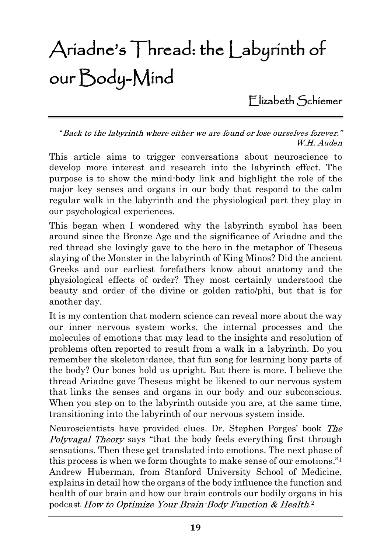# Ariadne's Thread: the Labyrinth of our Body-Mind

Elizabeth Schiemer

"Back to the labyrinth where either we are found or lose ourselves forever." W.H. Auden

This article aims to trigger conversations about neuroscience to develop more interest and research into the labyrinth effect. The purpose is to show the mind-body link and highlight the role of the major key senses and organs in our body that respond to the calm regular walk in the labyrinth and the physiological part they play in our psychological experiences.

This began when I wondered why the labyrinth symbol has been around since the Bronze Age and the significance of Ariadne and the red thread she lovingly gave to the hero in the metaphor of Theseus slaying of the Monster in the labyrinth of King Minos? Did the ancient Greeks and our earliest forefathers know about anatomy and the physiological effects of order? They most certainly understood the beauty and order of the divine or golden ratio/phi, but that is for another day.

It is my contention that modern science can reveal more about the way our inner nervous system works, the internal processes and the molecules of emotions that may lead to the insights and resolution of problems often reported to result from a walk in a labyrinth. Do you remember the skeleton-dance, that fun song for learning bony parts of the body? Our bones hold us upright. But there is more. I believe the thread Ariadne gave Theseus might be likened to our nervous system that links the senses and organs in our body and our subconscious. When you step on to the labyrinth outside you are, at the same time, transitioning into the labyrinth of our nervous system inside.

Neuroscientists have provided clues. Dr. Stephen Porges' book The Polyvagal Theory says "that the body feels everything first through sensations. Then these get translated into emotions. The next phase of this process is when we form thoughts to make sense of our emotions." $1$ Andrew Huberman, from Stanford University School of Medicine, explains in detail how the organs of the body influence the function and health of our brain and how our brain controls our bodily organs in his podcast How to Optimize Your Brain Body Function & Health.<sup>2</sup>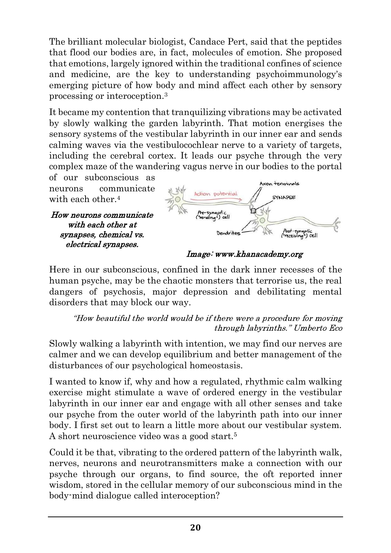The brilliant molecular biologist, Candace Pert, said that the peptides that flood our bodies are, in fact, molecules of emotion. She proposed that emotions, largely ignored within the traditional confines of science and medicine, are the key to understanding psychoimmunology's emerging picture of how body and mind affect each other by sensory processing or interoception.3

It became my contention that tranquilizing vibrations may be activated by slowly walking the garden labyrinth. That motion energises the sensory systems of the vestibular labyrinth in our inner ear and sends calming waves via the vestibulocochlear nerve to a variety of targets, including the cerebral cortex. It leads our psyche through the very complex maze of the wandering vagus nerve in our bodies to the portal

of our subconscious as neurons communicate with each other.<sup>4</sup>

How neurons communicate with each other at synapses, chemical vs. electrical synapses.



Image: www.khanacademy.org

Here in our subconscious, confined in the dark inner recesses of the human psyche, may be the chaotic monsters that terrorise us, the real dangers of psychosis, major depression and debilitating mental disorders that may block our way.

"How beautiful the world would be if there were a procedure for moving through labyrinths." Umberto Eco

Slowly walking a labyrinth with intention, we may find our nerves are calmer and we can develop equilibrium and better management of the disturbances of our psychological homeostasis.

I wanted to know if, why and how a regulated, rhythmic calm walking exercise might stimulate a wave of ordered energy in the vestibular labyrinth in our inner ear and engage with all other senses and take our psyche from the outer world of the labyrinth path into our inner body. I first set out to learn a little more about our vestibular system. A short neuroscience video was a good start.5

Could it be that, vibrating to the ordered pattern of the labyrinth walk, nerves, neurons and neurotransmitters make a connection with our psyche through our organs, to find source, the oft reported inner wisdom, stored in the cellular memory of our subconscious mind in the body-mind dialogue called interoception?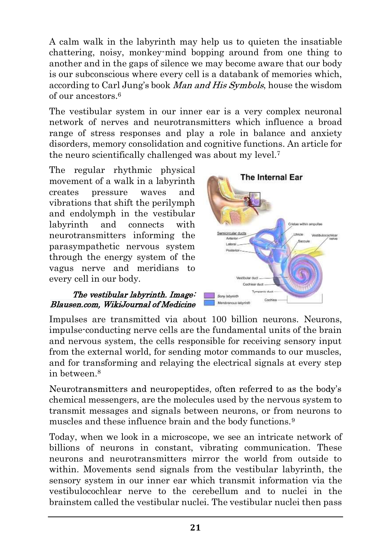A calm walk in the labyrinth may help us to quieten the insatiable chattering, noisy, monkey-mind bopping around from one thing to another and in the gaps of silence we may become aware that our body is our subconscious where every cell is a databank of memories which, according to Carl Jung's book *Man and His Symbols*, house the wisdom of our ancestors.6

The vestibular system in our inner ear is a very complex neuronal network of nerves and neurotransmitters which influence a broad range of stress responses and play a role in balance and anxiety disorders, memory consolidation and cognitive functions. An article for the neuro scientifically challenged was about my level.7

The regular rhythmic physical<br> **The Internal Ear** movement of a walk in a labyrinth creates pressure waves and vibrations that shift the perilymph and endolymph in the vestibular labyrinth and connects with neurotransmitters informing the parasympathetic nervous system through the energy system of the vagus nerve and meridians to every cell in our body.

### The vestibular labyrinth. Image: Blausen.com, WikiJournal of Medicine



Impulses are transmitted via about 100 billion neurons. Neurons, impulse-conducting nerve cells are the fundamental units of the brain and nervous system, the cells responsible for receiving sensory input from the external world, for sending motor commands to our muscles, and for transforming and relaying the electrical signals at every step in between.8

Neurotransmitters and neuropeptides, often referred to as the body's chemical messengers, are the molecules used by the nervous system to transmit messages and signals between neurons, or from neurons to muscles and these influence brain and the body functions.<sup>9</sup>

Today, when we look in a microscope, we see an intricate network of billions of neurons in constant, vibrating communication. These neurons and neurotransmitters mirror the world from outside to within. Movements send signals from the vestibular labyrinth, the sensory system in our inner ear which transmit information via the vestibulocochlear nerve to the cerebellum and to nuclei in the brainstem called the vestibular nuclei. The vestibular nuclei then pass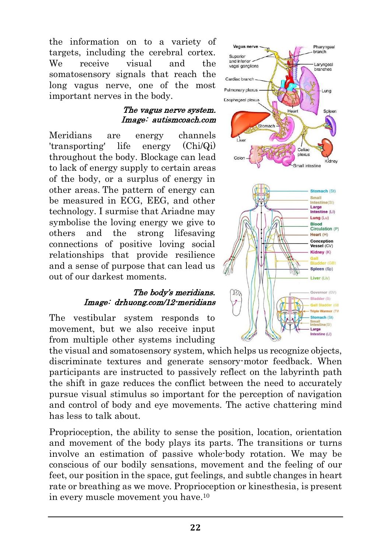the information on to a variety of vagus nerve targets, including the cerebral cortex. We receive visual and the  $\frac{1}{\text{and} \text{inferior}}$ somatosensory signals that reach the <sub>Cardiac branch</sub> long vagus nerve, one of the most **Pullmonary plexus** important nerves in the body.

### The vagus nerve system. Image: autismcoach.com

Meridians are energy channels 'transporting' life energy (Chi/Qi) throughout the body. Blockage can lead to lack of energy supply to certain areas of the body, or a surplus of energy in other areas. The pattern of energy can be measured in ECG, EEG, and other technology. I surmise that Ariadne may symbolise the loving energy we give to others and the strong lifesaving connections of positive loving social relationships that provide resilience and a sense of purpose that can lead us out of our darkest moments.

### The body's meridians. Image: drhuong.com/12-meridians

The vestibular system responds to movement, but we also receive input from multiple other systems including

the visual and somatosensory system, which helps us recognize objects, discriminate textures and generate sensory-motor feedback. When participants are instructed to passively reflect on the labyrinth path the shift in gaze reduces the conflict between the need to accurately pursue visual stimulus so important for the perception of navigation and control of body and eye movements. The active chattering mind has less to talk about.

Proprioception, the ability to sense the position, location, orientation and movement of the body plays its parts. The transitions or turns involve an estimation of passive whole-body rotation. We may be conscious of our bodily sensations, movement and the feeling of our feet, our position in the space, gut feelings, and subtle changes in heart rate or breathing as we move. Proprioception or kinesthesia, is present in every muscle movement you have.10

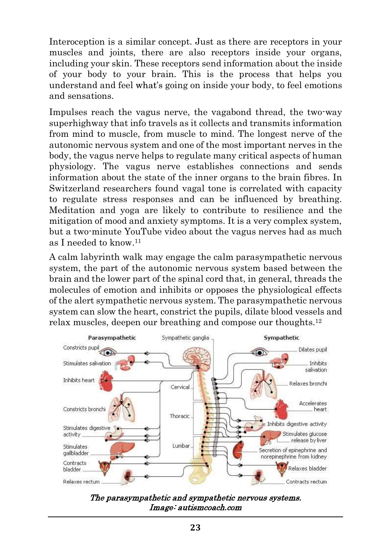Interoception is a similar concept. Just as there are receptors in your muscles and joints, there are also receptors inside your organs, including your skin. These receptors send information about the inside of your body to your brain. This is the process that helps you understand and feel what's going on inside your body, to feel emotions and sensations.

Impulses reach the vagus nerve, the vagabond thread, the two-way superhighway that info travels as it collects and transmits information from mind to muscle, from muscle to mind. The longest nerve of the autonomic nervous system and one of the most important nerves in the body, the vagus nerve helps to regulate many critical aspects of human physiology. The vagus nerve establishes connections and sends information about the state of the inner organs to the brain fibres. In Switzerland researchers found vagal tone is correlated with capacity to regulate stress responses and can be influenced by breathing. Meditation and yoga are likely to contribute to resilience and the mitigation of mood and anxiety symptoms. It is a very complex system, but a two-minute YouTube video about the vagus nerves had as much as I needed to know.11

A calm labyrinth walk may engage the calm parasympathetic nervous system, the part of the autonomic nervous system based between the brain and the lower part of the spinal cord that, in general, threads the molecules of emotion and inhibits or opposes the physiological effects of the alert sympathetic nervous system. The parasympathetic nervous system can slow the heart, constrict the pupils, dilate blood vessels and relax muscles, deepen our breathing and compose our thoughts.12



The parasympathetic and sympathetic nervous systems. Image: autismcoach.com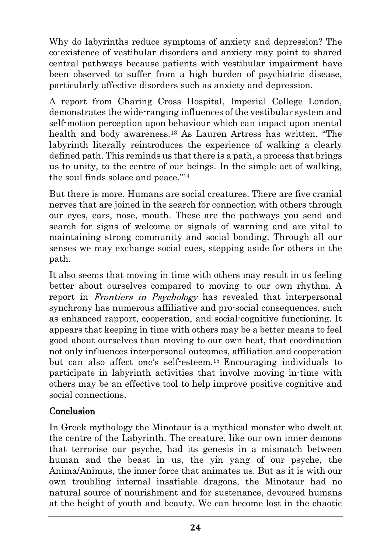Why do labyrinths reduce symptoms of anxiety and depression? The co-existence of vestibular disorders and anxiety may point to shared central pathways because patients with vestibular impairment have been observed to suffer from a high burden of psychiatric disease, particularly affective disorders such as anxiety and depression.

A report from Charing Cross Hospital, Imperial College London, demonstrates the wide-ranging influences of the vestibular system and self-motion perception upon behaviour which can impact upon mental health and body awareness.<sup>13</sup> As Lauren Artress has written, "The labyrinth literally reintroduces the experience of walking a clearly defined path. This reminds us that there is a path, a process that brings us to unity, to the centre of our beings. In the simple act of walking, the soul finds solace and peace."<sup>14</sup>

But there is more. Humans are social creatures. There are five cranial nerves that are joined in the search for connection with others through our eyes, ears, nose, mouth. These are the pathways you send and search for signs of welcome or signals of warning and are vital to maintaining strong community and social bonding. Through all our senses we may exchange social cues, stepping aside for others in the path.

It also seems that moving in time with others may result in us feeling better about ourselves compared to moving to our own rhythm. A report in *Frontiers in Psychology* has revealed that interpersonal synchrony has numerous affiliative and pro-social consequences, such as enhanced rapport, cooperation, and social-cognitive functioning. It appears that keeping in time with others may be a better means to feel good about ourselves than moving to our own beat, that coordination not only influences interpersonal outcomes, affiliation and cooperation but can also affect one's self-esteem.<sup>15</sup> Encouraging individuals to participate in labyrinth activities that involve moving in-time with others may be an effective tool to help improve positive cognitive and social connections.

## Conclusion

In Greek mythology the Minotaur is a mythical monster who dwelt at the centre of the Labyrinth. The creature, like our own inner demons that terrorise our psyche, had its genesis in a mismatch between human and the beast in us, the yin yang of our psyche, the Anima/Animus, the inner force that animates us. But as it is with our own troubling internal insatiable dragons, the Minotaur had no natural source of nourishment and for sustenance, devoured humans at the height of youth and beauty. We can become lost in the chaotic